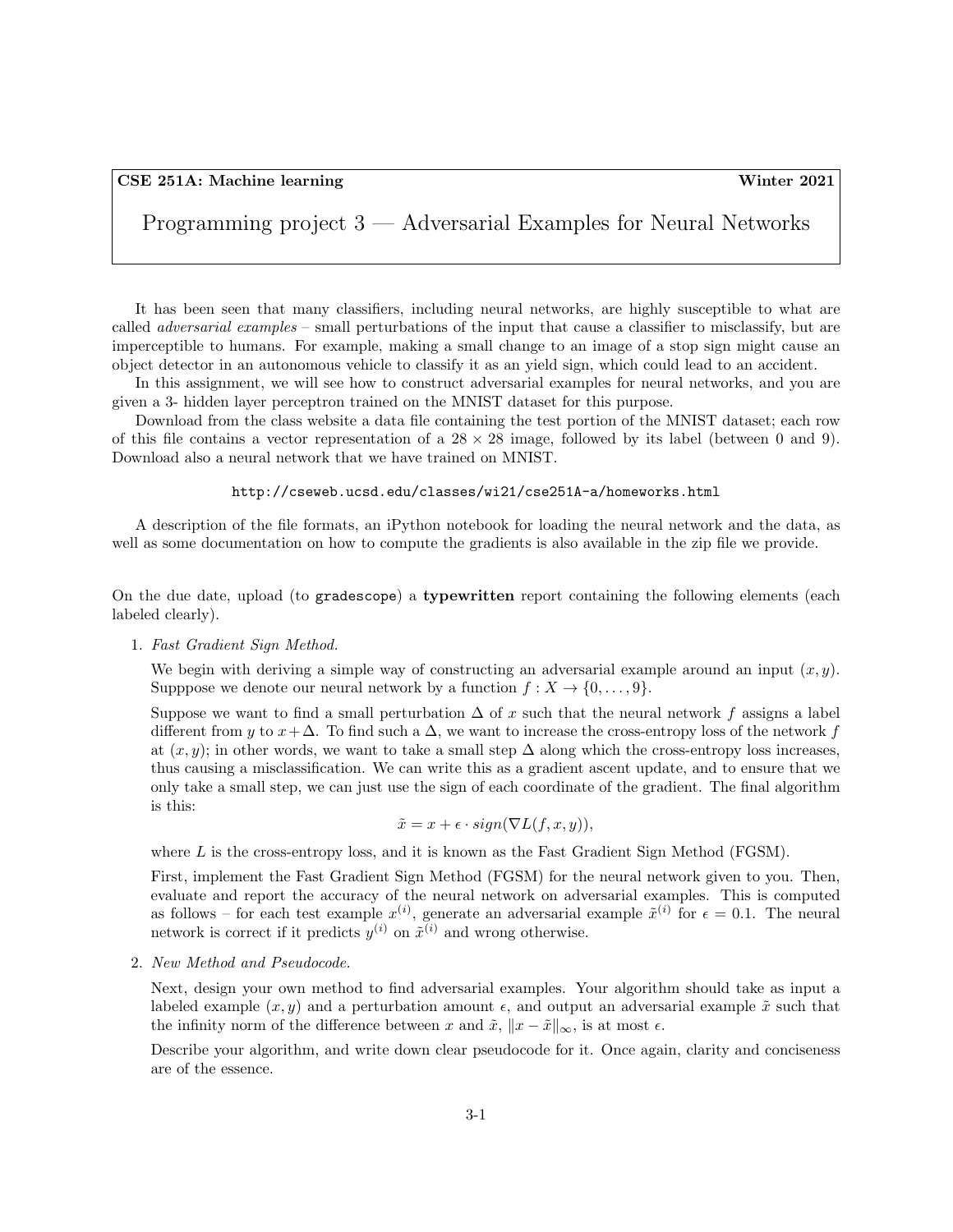Programming project 3 — Adversarial Examples for Neural Networks

It has been seen that many classifiers, including neural networks, are highly susceptible to what are called adversarial examples – small perturbations of the input that cause a classifier to misclassify, but are imperceptible to humans. For example, making a small change to an image of a stop sign might cause an object detector in an autonomous vehicle to classify it as an yield sign, which could lead to an accident.

In this assignment, we will see how to construct adversarial examples for neural networks, and you are given a 3- hidden layer perceptron trained on the MNIST dataset for this purpose.

Download from the class website a data file containing the test portion of the MNIST dataset; each row of this file contains a vector representation of a  $28 \times 28$  image, followed by its label (between 0 and 9). Download also a neural network that we have trained on MNIST.

## http://cseweb.ucsd.edu/classes/wi21/cse251A-a/homeworks.html

A description of the file formats, an iPython notebook for loading the neural network and the data, as well as some documentation on how to compute the gradients is also available in the zip file we provide.

On the due date, upload (to gradescope) a typewritten report containing the following elements (each labeled clearly).

1. Fast Gradient Sign Method.

We begin with deriving a simple way of constructing an adversarial example around an input  $(x, y)$ . Supppose we denote our neural network by a function  $f: X \to \{0, \ldots, 9\}.$ 

Suppose we want to find a small perturbation  $\Delta$  of x such that the neural network f assigns a label different from y to  $x+\Delta$ . To find such a  $\Delta$ , we want to increase the cross-entropy loss of the network f at  $(x, y)$ ; in other words, we want to take a small step  $\Delta$  along which the cross-entropy loss increases, thus causing a misclassification. We can write this as a gradient ascent update, and to ensure that we only take a small step, we can just use the sign of each coordinate of the gradient. The final algorithm is this:

$$
\tilde{x} = x + \epsilon \cdot sign(\nabla L(f, x, y)),
$$

where  $L$  is the cross-entropy loss, and it is known as the Fast Gradient Sign Method (FGSM).

First, implement the Fast Gradient Sign Method (FGSM) for the neural network given to you. Then, evaluate and report the accuracy of the neural network on adversarial examples. This is computed as follows – for each test example  $x^{(i)}$ , generate an adversarial example  $\tilde{x}^{(i)}$  for  $\epsilon = 0.1$ . The neural network is correct if it predicts  $y^{(i)}$  on  $\tilde{x}^{(i)}$  and wrong otherwise.

2. New Method and Pseudocode.

Next, design your own method to find adversarial examples. Your algorithm should take as input a labeled example  $(x, y)$  and a perturbation amount  $\epsilon$ , and output an adversarial example  $\tilde{x}$  such that the infinity norm of the difference between x and  $\tilde{x}$ ,  $||x - \tilde{x}||_{\infty}$ , is at most  $\epsilon$ .

Describe your algorithm, and write down clear pseudocode for it. Once again, clarity and conciseness are of the essence.